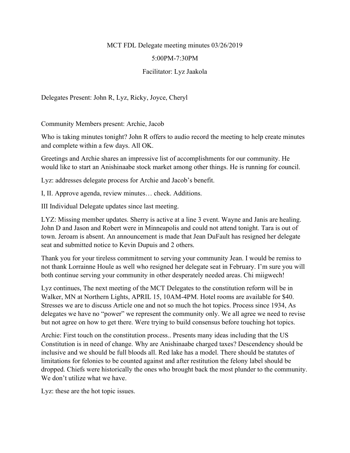## MCT FDL Delegate meeting minutes 03/26/2019

## 5:00PM-7:30PM

## Facilitator: Lyz Jaakola

Delegates Present: John R, Lyz, Ricky, Joyce, Cheryl

Community Members present: Archie, Jacob

Who is taking minutes tonight? John R offers to audio record the meeting to help create minutes and complete within a few days. All OK.

Greetings and Archie shares an impressive list of accomplishments for our community. He would like to start an Anishinaabe stock market among other things. He is running for council.

Lyz: addresses delegate process for Archie and Jacob's benefit.

I, II. Approve agenda, review minutes… check. Additions.

III Individual Delegate updates since last meeting.

LYZ: Missing member updates. Sherry is active at a line 3 event. Wayne and Janis are healing. John D and Jason and Robert were in Minneapolis and could not attend tonight. Tara is out of town. Jeroam is absent. An announcement is made that Jean DuFault has resigned her delegate seat and submitted notice to Kevin Dupuis and 2 others.

Thank you for your tireless commitment to serving your community Jean. I would be remiss to not thank Lorrainne Houle as well who resigned her delegate seat in February. I'm sure you will both continue serving your community in other desperately needed areas. Chi miigwech!

Lyz continues, The next meeting of the MCT Delegates to the constitution reform will be in Walker, MN at Northern Lights, APRIL 15, 10AM-4PM. Hotel rooms are available for \$40. Stresses we are to discuss Article one and not so much the hot topics. Process since 1934, As delegates we have no "power" we represent the community only. We all agree we need to revise but not agree on how to get there. Were trying to build consensus before touching hot topics.

Archie: First touch on the constitution process.. Presents many ideas including that the US Constitution is in need of change. Why are Anishinaabe charged taxes? Descendency should be inclusive and we should be full bloods all. Red lake has a model. There should be statutes of limitations for felonies to be counted against and after restitution the felony label should be dropped. Chiefs were historically the ones who brought back the most plunder to the community. We don't utilize what we have.

Lyz: these are the hot topic issues.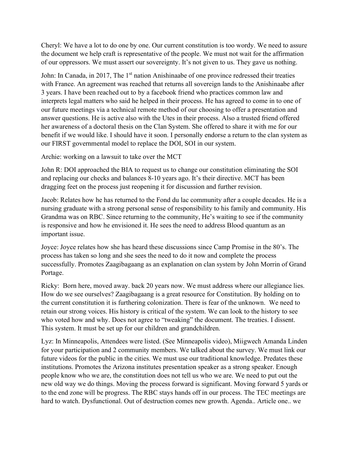Cheryl: We have a lot to do one by one. Our current constitution is too wordy. We need to assure the document we help craft is representative of the people. We must not wait for the affirmation of our oppressors. We must assert our sovereignty. It's not given to us. They gave us nothing.

John: In Canada, in 2017, The 1<sup>st</sup> nation Anishinaabe of one province redressed their treaties with France. An agreement was reached that returns all sovereign lands to the Anishinaabe after 3 years. I have been reached out to by a facebook friend who practices common law and interprets legal matters who said he helped in their process. He has agreed to come in to one of our future meetings via a technical remote method of our choosing to offer a presentation and answer questions. He is active also with the Utes in their process. Also a trusted friend offered her awareness of a doctoral thesis on the Clan System. She offered to share it with me for our benefit if we would like. I should have it soon. I personally endorse a return to the clan system as our FIRST governmental model to replace the DOI, SOI in our system.

Archie: working on a lawsuit to take over the MCT

John R: DOI approached the BIA to request us to change our constitution eliminating the SOI and replacing our checks and balances 8-10 years ago. It's their directive. MCT has been dragging feet on the process just reopening it for discussion and further revision.

Jacob: Relates how he has returned to the Fond du lac community after a couple decades. He is a nursing graduate with a strong personal sense of responsibility to his family and community. His Grandma was on RBC. Since returning to the community, He's waiting to see if the community is responsive and how he envisioned it. He sees the need to address Blood quantum as an important issue.

Joyce: Joyce relates how she has heard these discussions since Camp Promise in the 80's. The process has taken so long and she sees the need to do it now and complete the process successfully. Promotes Zaagibagaang as an explanation on clan system by John Morrin of Grand Portage.

Ricky: Born here, moved away. back 20 years now. We must address where our allegiance lies. How do we see ourselves? Zaagibagaang is a great resource for Constitution. By holding on to the current constitution it is furthering colonization. There is fear of the unknown. We need to retain our strong voices. His history is critical of the system. We can look to the history to see who voted how and why. Does not agree to "tweaking" the document. The treaties. I dissent. This system. It must be set up for our children and grandchildren.

Lyz: In Minneapolis, Attendees were listed. (See Minneapolis video), Miigwech Amanda Linden for your participation and 2 community members. We talked about the survey. We must link our future videos for the public in the cities. We must use our traditional knowledge. Predates these institutions. Promotes the Arizona institutes presentation speaker as a strong speaker. Enough people know who we are, the constitution does not tell us who we are. We need to put out the new old way we do things. Moving the process forward is significant. Moving forward 5 yards or to the end zone will be progress. The RBC stays hands off in our process. The TEC meetings are hard to watch. Dysfunctional. Out of destruction comes new growth. Agenda.. Article one.. we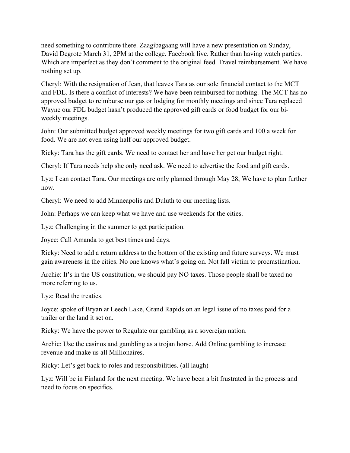need something to contribute there. Zaagibagaang will have a new presentation on Sunday, David Degrote March 31, 2PM at the college. Facebook live. Rather than having watch parties. Which are imperfect as they don't comment to the original feed. Travel reimbursement. We have nothing set up.

Cheryl: With the resignation of Jean, that leaves Tara as our sole financial contact to the MCT and FDL. Is there a conflict of interests? We have been reimbursed for nothing. The MCT has no approved budget to reimburse our gas or lodging for monthly meetings and since Tara replaced Wayne our FDL budget hasn't produced the approved gift cards or food budget for our biweekly meetings.

John: Our submitted budget approved weekly meetings for two gift cards and 100 a week for food. We are not even using half our approved budget.

Ricky: Tara has the gift cards. We need to contact her and have her get our budget right.

Cheryl: If Tara needs help she only need ask. We need to advertise the food and gift cards.

Lyz: I can contact Tara. Our meetings are only planned through May 28, We have to plan further now.

Cheryl: We need to add Minneapolis and Duluth to our meeting lists.

John: Perhaps we can keep what we have and use weekends for the cities.

Lyz: Challenging in the summer to get participation.

Joyce: Call Amanda to get best times and days.

Ricky: Need to add a return address to the bottom of the existing and future surveys. We must gain awareness in the cities. No one knows what's going on. Not fall victim to procrastination.

Archie: It's in the US constitution, we should pay NO taxes. Those people shall be taxed no more referring to us.

Lyz: Read the treaties.

Joyce: spoke of Bryan at Leech Lake, Grand Rapids on an legal issue of no taxes paid for a trailer or the land it set on.

Ricky: We have the power to Regulate our gambling as a sovereign nation.

Archie: Use the casinos and gambling as a trojan horse. Add Online gambling to increase revenue and make us all Millionaires.

Ricky: Let's get back to roles and responsibilities. (all laugh)

Lyz: Will be in Finland for the next meeting. We have been a bit frustrated in the process and need to focus on specifics.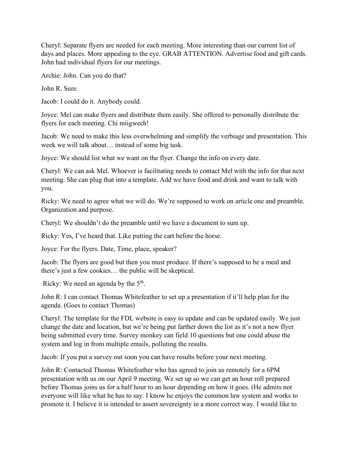Cheryl: Separate flyers are needed for each meeting. More interesting than our current list of days and places. More appealing to the eye. GRAB ATTENTION. Advertise food and gift cards. John had individual flyers for our meetings.

Archie: John. Can you do that?

John R. Sure.

Jacob: I could do it. Anybody could.

Joyce: Mel can make flyers and distribute them easily. She offered to personally distribute the flyers for each meeting. Chi miigwech!

Jacob: We need to make this less overwhelming and simplify the verbiage and presentation. This week we will talk about… instead of some big task.

Joyce: We should list what we want on the flyer. Change the info on every date.

Cheryl: We can ask Mel. Whoever is facilitating needs to contact Mel with the info for that next meeting. She can plug that into a template. Add we have food and drink and want to talk with you.

Ricky: We need to agree what we will do. We're supposed to work on article one and preamble. Organization and purpose.

Cheryl: We shouldn't do the preamble until we have a document to sum up.

Ricky: Yes, I've heard that. Like putting the cart before the horse.

Joyce: For the flyers. Date, Time, place, speaker?

Jacob: The flyers are good but then you must produce. If there's supposed to be a meal and there's just a few cookies… the public will be skeptical.

Ricky: We need an agenda by the 5<sup>th</sup>.

John R: I can contact Thomas Whitefeather to set up a presentation if it'll help plan for the agenda. (Goes to contact Thomas)

Cheryl: The template for the FDL website is easy to update and can be updated easily. We just change the date and location, but we're being put farther down the list as it's not a new flyer being submitted every time. Survey monkey can field 10 questions but one could abuse the system and log in from multiple emails, polluting the results.

Jacob: If you put a survey out soon you can have results before your next meeting.

John R: Contacted Thomas Whitefeather who has agreed to join us remotely for a 6PM presentation with us on our April 9 meeting. We set up so we can get an hour roll prepared before Thomas joins us for a half hour to an hour depending on how it goes. (He admits not everyone will like what he has to say. I know he enjoys the common law system and works to promote it. I believe it is intended to assert sovereignty in a more correct way. I would like to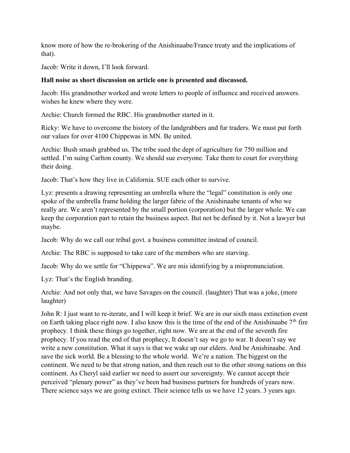know more of how the re-brokering of the Anishinaabe/France treaty and the implications of that).

Jacob: Write it down, I'll look forward.

## Hall noise as short discussion on article one is presented and discussed.

Jacob: His grandmother worked and wrote letters to people of influence and received answers. wishes he knew where they were.

Archie: Church formed the RBC. His grandmother started in it.

Ricky: We have to overcome the history of the landgrabbers and fur traders. We must put forth our values for over 4100 Chippewas in MN. Be united.

Archie: Bush smash grabbed us. The tribe sued the dept of agriculture for 750 million and settled. I'm suing Carlton county. We should sue everyone. Take them to court for everything their doing.

Jacob: That's how they live in California. SUE each other to survive.

Lyz: presents a drawing representing an umbrella where the "legal" constitution is only one spoke of the umbrella frame holding the larger fabric of the Anishinaabe tenants of who we really are. We aren't represented by the small portion (corporation) but the larger whole. We can keep the corporation part to retain the business aspect. But not be defined by it. Not a lawyer but maybe.

Jacob: Why do we call our tribal govt. a business committee instead of council.

Archie: The RBC is supposed to take care of the members who are starving.

Jacob: Why do we settle for "Chippewa". We are mis identifying by a mispronunciation.

Lyz: That's the English branding.

Archie: And not only that, we have Savages on the council. (laughter) That was a joke, (more laughter)

John R: I just want to re-iterate, and I will keep it brief. We are in our sixth mass extinction event on Earth taking place right now. I also know this is the time of the end of the Anishinaabe  $7<sup>th</sup>$  fire prophecy. I think these things go together, right now. We are at the end of the seventh fire prophecy. If you read the end of that prophecy, It doesn't say we go to war. It doesn't say we write a new constitution. What it says is that we wake up our elders. And be Anishinaabe. And save the sick world. Be a blessing to the whole world. We're a nation. The biggest on the continent. We need to be that strong nation, and then reach out to the other strong nations on this continent. As Cheryl said earlier we need to assert our sovereignty. We cannot accept their perceived "plenary power" as they've been bad business partners for hundreds of years now. There science says we are going extinct. Their science tells us we have 12 years. 3 years ago.